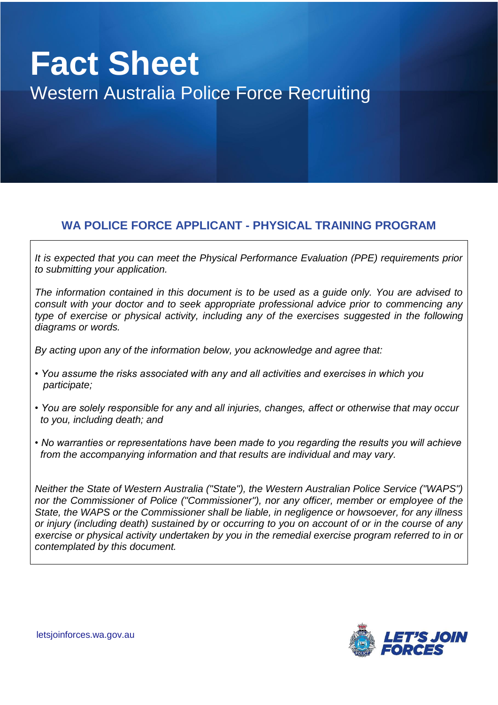## **Fact Sheet** Western Australia Police Force Recruiting

## **WA POLICE FORCE APPLICANT - PHYSICAL TRAINING PROGRAM**

*It is expected that you can meet the Physical Performance Evaluation (PPE) requirements prior to submitting your application.* 

*The information contained in this document is to be used as a guide only. You are advised to consult with your doctor and to seek appropriate professional advice prior to commencing any type of exercise or physical activity, including any of the exercises suggested in the following diagrams or words.*

*By acting upon any of the information below, you acknowledge and agree that:*

- *You assume the risks associated with any and all activities and exercises in which you participate;*
- *You are solely responsible for any and all injuries, changes, affect or otherwise that may occur to you, including death; and*
- *No warranties or representations have been made to you regarding the results you will achieve from the accompanying information and that results are individual and may vary.*

*Neither the State of Western Australia ("State"), the Western Australian Police Service ("WAPS") nor the Commissioner of Police ("Commissioner"), nor any officer, member or employee of the State, the WAPS or the Commissioner shall be liable, in negligence or howsoever, for any illness or injury (including death) sustained by or occurring to you on account of or in the course of any exercise or physical activity undertaken by you in the remedial exercise program referred to in or contemplated by this document.*

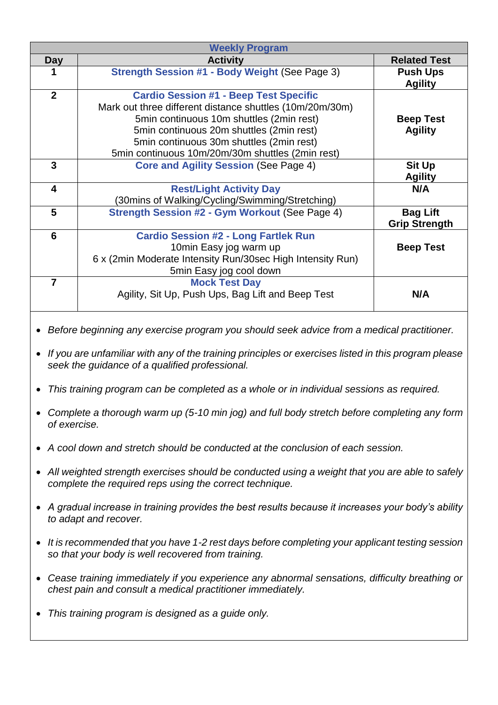| <b>Weekly Program</b> |                                                                                                                                                                                                                                                                                                      |                                         |  |  |  |
|-----------------------|------------------------------------------------------------------------------------------------------------------------------------------------------------------------------------------------------------------------------------------------------------------------------------------------------|-----------------------------------------|--|--|--|
| Day                   | <b>Activity</b>                                                                                                                                                                                                                                                                                      | <b>Related Test</b>                     |  |  |  |
|                       | <b>Strength Session #1 - Body Weight (See Page 3)</b>                                                                                                                                                                                                                                                | <b>Push Ups</b><br><b>Agility</b>       |  |  |  |
| $\overline{2}$        | <b>Cardio Session #1 - Beep Test Specific</b><br>Mark out three different distance shuttles (10m/20m/30m)<br>5min continuous 10m shuttles (2min rest)<br>5 min continuous 20 m shuttles (2 min rest)<br>5min continuous 30m shuttles (2min rest)<br>5min continuous 10m/20m/30m shuttles (2min rest) | <b>Beep Test</b><br><b>Agility</b>      |  |  |  |
| 3                     | <b>Core and Agility Session (See Page 4)</b>                                                                                                                                                                                                                                                         | <b>Sit Up</b><br><b>Agility</b>         |  |  |  |
| 4                     | <b>Rest/Light Activity Day</b><br>(30mins of Walking/Cycling/Swimming/Stretching)                                                                                                                                                                                                                    | N/A                                     |  |  |  |
| 5                     | <b>Strength Session #2 - Gym Workout (See Page 4)</b>                                                                                                                                                                                                                                                | <b>Bag Lift</b><br><b>Grip Strength</b> |  |  |  |
| 6                     | <b>Cardio Session #2 - Long Fartlek Run</b><br>10min Easy jog warm up<br>6 x (2min Moderate Intensity Run/30sec High Intensity Run)<br>5min Easy jog cool down                                                                                                                                       | <b>Beep Test</b>                        |  |  |  |
| 7                     | <b>Mock Test Day</b><br>Agility, Sit Up, Push Ups, Bag Lift and Beep Test                                                                                                                                                                                                                            | N/A                                     |  |  |  |

• *Before beginning any exercise program you should seek advice from a medical practitioner.*

- *If you are unfamiliar with any of the training principles or exercises listed in this program please seek the guidance of a qualified professional.*
- *This training program can be completed as a whole or in individual sessions as required.*
- *Complete a thorough warm up (5-10 min jog) and full body stretch before completing any form of exercise.*
- *A cool down and stretch should be conducted at the conclusion of each session.*
- *All weighted strength exercises should be conducted using a weight that you are able to safely complete the required reps using the correct technique.*
- *A gradual increase in training provides the best results because it increases your body's ability to adapt and recover.*
- *It is recommended that you have 1-2 rest days before completing your applicant testing session so that your body is well recovered from training.*
- *Cease training immediately if you experience any abnormal sensations, difficulty breathing or chest pain and consult a medical practitioner immediately.*
- *This training program is designed as a guide only.*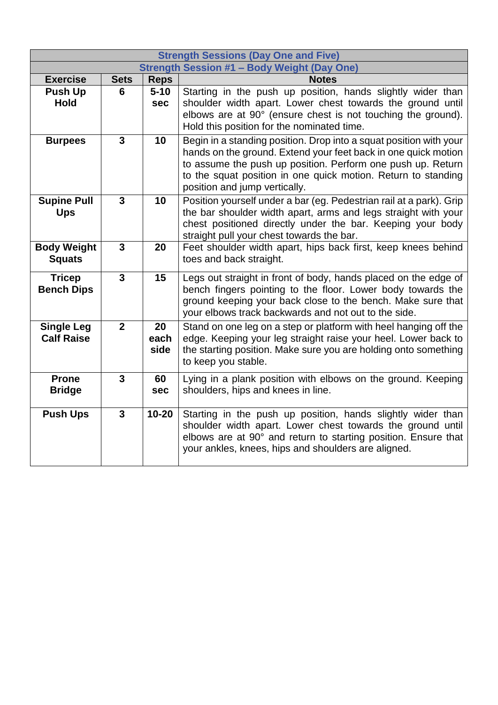| <b>Strength Sessions (Day One and Five)</b> |                |                        |                                                                                                                                                                                                                                                                                                       |  |  |  |
|---------------------------------------------|----------------|------------------------|-------------------------------------------------------------------------------------------------------------------------------------------------------------------------------------------------------------------------------------------------------------------------------------------------------|--|--|--|
| Strength Session #1 - Body Weight (Day One) |                |                        |                                                                                                                                                                                                                                                                                                       |  |  |  |
| <b>Exercise</b>                             | <b>Sets</b>    | <b>Reps</b>            | <b>Notes</b>                                                                                                                                                                                                                                                                                          |  |  |  |
| <b>Push Up</b><br><b>Hold</b>               | 6              | $5 - 10$<br><b>sec</b> | Starting in the push up position, hands slightly wider than<br>shoulder width apart. Lower chest towards the ground until<br>elbows are at 90° (ensure chest is not touching the ground).<br>Hold this position for the nominated time.                                                               |  |  |  |
| <b>Burpees</b>                              | 3              | 10                     | Begin in a standing position. Drop into a squat position with your<br>hands on the ground. Extend your feet back in one quick motion<br>to assume the push up position. Perform one push up. Return<br>to the squat position in one quick motion. Return to standing<br>position and jump vertically. |  |  |  |
| <b>Supine Pull</b><br><b>Ups</b>            | 3              | 10                     | Position yourself under a bar (eg. Pedestrian rail at a park). Grip<br>the bar shoulder width apart, arms and legs straight with your<br>chest positioned directly under the bar. Keeping your body<br>straight pull your chest towards the bar.                                                      |  |  |  |
| <b>Body Weight</b><br><b>Squats</b>         | $\overline{3}$ | 20                     | Feet shoulder width apart, hips back first, keep knees behind<br>toes and back straight.                                                                                                                                                                                                              |  |  |  |
| <b>Tricep</b><br><b>Bench Dips</b>          | $\overline{3}$ | 15                     | Legs out straight in front of body, hands placed on the edge of<br>bench fingers pointing to the floor. Lower body towards the<br>ground keeping your back close to the bench. Make sure that<br>your elbows track backwards and not out to the side.                                                 |  |  |  |
| <b>Single Leg</b><br><b>Calf Raise</b>      | $\overline{2}$ | 20<br>each<br>side     | Stand on one leg on a step or platform with heel hanging off the<br>edge. Keeping your leg straight raise your heel. Lower back to<br>the starting position. Make sure you are holding onto something<br>to keep you stable.                                                                          |  |  |  |
| <b>Prone</b><br><b>Bridge</b>               | 3              | 60<br><b>sec</b>       | Lying in a plank position with elbows on the ground. Keeping<br>shoulders, hips and knees in line.                                                                                                                                                                                                    |  |  |  |
| <b>Push Ups</b>                             | $\mathbf{3}$   | $10 - 20$              | Starting in the push up position, hands slightly wider than<br>shoulder width apart. Lower chest towards the ground until<br>elbows are at 90° and return to starting position. Ensure that<br>your ankles, knees, hips and shoulders are aligned.                                                    |  |  |  |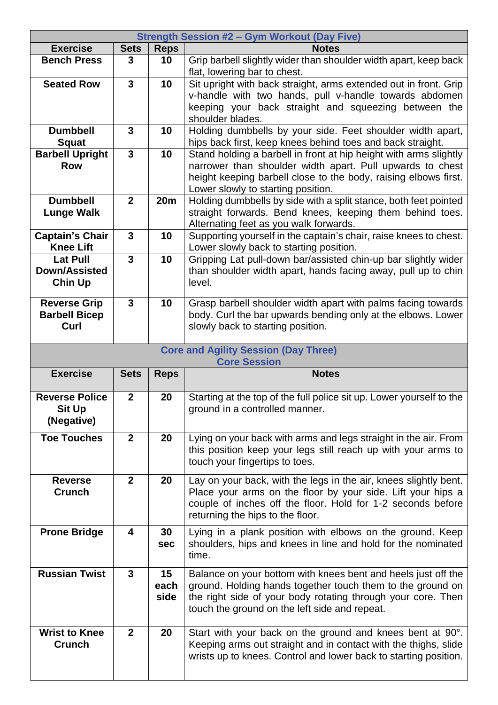|                        |                         |             | <b>Strength Session #2 - Gym Workout (Day Five)</b>                                                                                 |
|------------------------|-------------------------|-------------|-------------------------------------------------------------------------------------------------------------------------------------|
| <b>Exercise</b>        | <b>Sets</b>             | <b>Reps</b> | <b>Notes</b>                                                                                                                        |
| <b>Bench Press</b>     | 3                       | 10          | Grip barbell slightly wider than shoulder width apart, keep back                                                                    |
|                        |                         |             | flat, lowering bar to chest.                                                                                                        |
| <b>Seated Row</b>      | $\overline{3}$          | 10          | Sit upright with back straight, arms extended out in front. Grip                                                                    |
|                        |                         |             | v-handle with two hands, pull v-handle towards abdomen                                                                              |
|                        |                         |             | keeping your back straight and squeezing between the<br>shoulder blades.                                                            |
| <b>Dumbbell</b>        | 3                       | 10          | Holding dumbbells by your side. Feet shoulder width apart,                                                                          |
| <b>Squat</b>           |                         |             | hips back first, keep knees behind toes and back straight.                                                                          |
| <b>Barbell Upright</b> | $\overline{\mathbf{3}}$ | 10          | Stand holding a barbell in front at hip height with arms slightly                                                                   |
| <b>Row</b>             |                         |             | narrower than shoulder width apart. Pull upwards to chest                                                                           |
|                        |                         |             | height keeping barbell close to the body, raising elbows first.                                                                     |
|                        |                         |             | Lower slowly to starting position.                                                                                                  |
| <b>Dumbbell</b>        | $\overline{2}$          | <b>20m</b>  | Holding dumbbells by side with a split stance, both feet pointed                                                                    |
| <b>Lunge Walk</b>      |                         |             | straight forwards. Bend knees, keeping them behind toes.<br>Alternating feet as you walk forwards.                                  |
| <b>Captain's Chair</b> | $\overline{3}$          | 10          | Supporting yourself in the captain's chair, raise knees to chest.                                                                   |
| <b>Knee Lift</b>       |                         |             | Lower slowly back to starting position.                                                                                             |
| <b>Lat Pull</b>        | $\overline{3}$          | 10          | Gripping Lat pull-down bar/assisted chin-up bar slightly wider                                                                      |
| Down/Assisted          |                         |             | than shoulder width apart, hands facing away, pull up to chin                                                                       |
| <b>Chin Up</b>         |                         |             | level.                                                                                                                              |
| <b>Reverse Grip</b>    | $\overline{3}$          | 10          | Grasp barbell shoulder width apart with palms facing towards                                                                        |
| <b>Barbell Bicep</b>   |                         |             | body. Curl the bar upwards bending only at the elbows. Lower                                                                        |
| Curl                   |                         |             | slowly back to starting position.                                                                                                   |
|                        |                         |             |                                                                                                                                     |
|                        |                         |             | <b>Core and Agility Session (Day Three)</b>                                                                                         |
| <b>Exercise</b>        | <b>Sets</b>             |             | <b>Core Session</b>                                                                                                                 |
|                        |                         |             |                                                                                                                                     |
|                        |                         | <b>Reps</b> | <b>Notes</b>                                                                                                                        |
| <b>Reverse Police</b>  | $\overline{2}$          | 20          | Starting at the top of the full police sit up. Lower yourself to the                                                                |
| <b>Sit Up</b>          |                         |             | ground in a controlled manner.                                                                                                      |
| (Negative)             |                         |             |                                                                                                                                     |
| <b>Toe Touches</b>     | $\overline{2}$          | 20          | Lying on your back with arms and legs straight in the air. From                                                                     |
|                        |                         |             | this position keep your legs still reach up with your arms to                                                                       |
|                        |                         |             | touch your fingertips to toes.                                                                                                      |
| <b>Reverse</b>         | $\boldsymbol{2}$        | 20          |                                                                                                                                     |
| <b>Crunch</b>          |                         |             | Lay on your back, with the legs in the air, knees slightly bent.<br>Place your arms on the floor by your side. Lift your hips a     |
|                        |                         |             | couple of inches off the floor. Hold for 1-2 seconds before                                                                         |
|                        |                         |             | returning the hips to the floor.                                                                                                    |
| <b>Prone Bridge</b>    | 4                       | 30          | Lying in a plank position with elbows on the ground. Keep                                                                           |
|                        |                         | sec         | shoulders, hips and knees in line and hold for the nominated                                                                        |
|                        |                         |             | time.                                                                                                                               |
| <b>Russian Twist</b>   | 3                       | 15          | Balance on your bottom with knees bent and heels just off the                                                                       |
|                        |                         | each        | ground. Holding hands together touch them to the ground on                                                                          |
|                        |                         | side        | the right side of your body rotating through your core. Then                                                                        |
|                        |                         |             | touch the ground on the left side and repeat.                                                                                       |
|                        |                         |             |                                                                                                                                     |
| <b>Wrist to Knee</b>   | $\overline{2}$          | 20          | Start with your back on the ground and knees bent at 90°.                                                                           |
| <b>Crunch</b>          |                         |             | Keeping arms out straight and in contact with the thighs, slide<br>wrists up to knees. Control and lower back to starting position. |
|                        |                         |             |                                                                                                                                     |